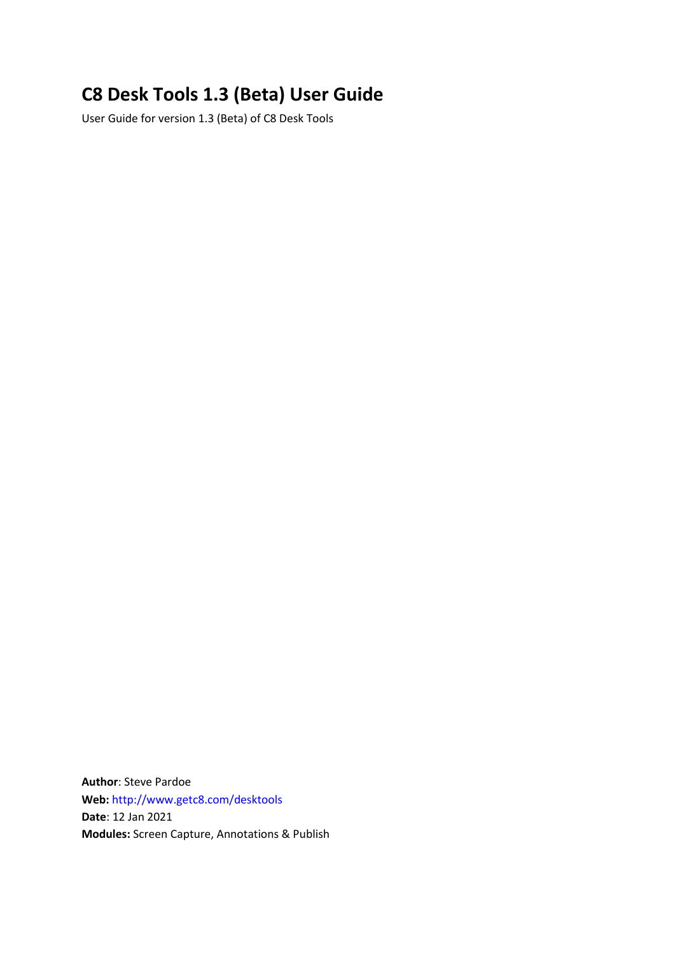# **C8 Desk Tools 1.3 (Beta) User Guide**

User Guide for version 1.3 (Beta) of C8 Desk Tools

**Author**: Steve Pardoe **Web:** <http://www.getc8.com/desktools> **Date**: 12 Jan 2021 **Modules:** Screen Capture, Annotations & Publish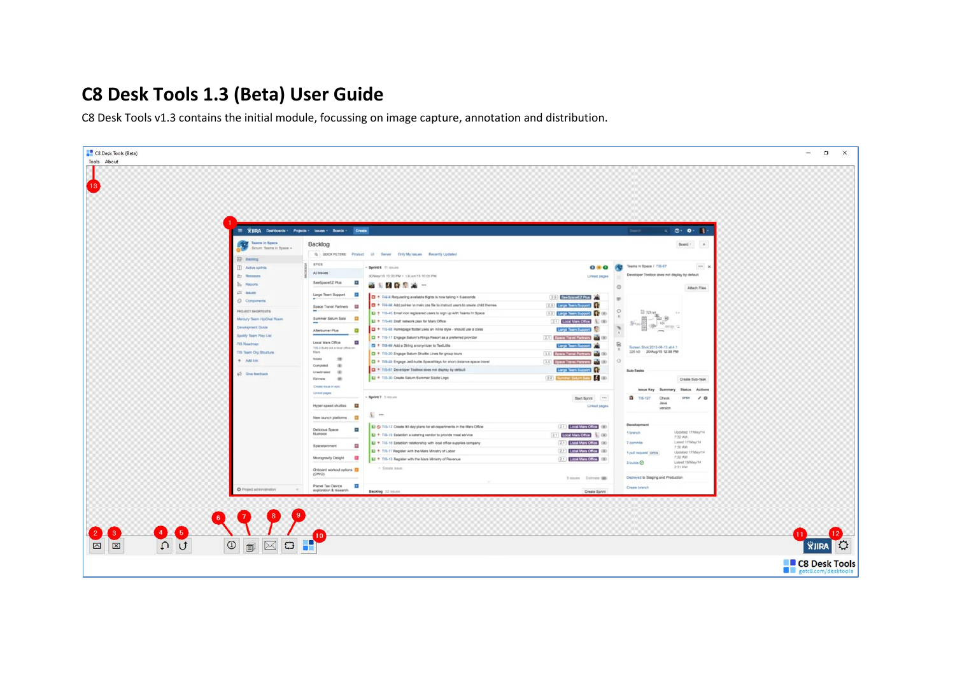## **C8 Desk Tools 1.3 (Beta) User Guide**

C8 Desk Tools v1.3 contains the initial module, focussing on image capture, annotation and distribution.

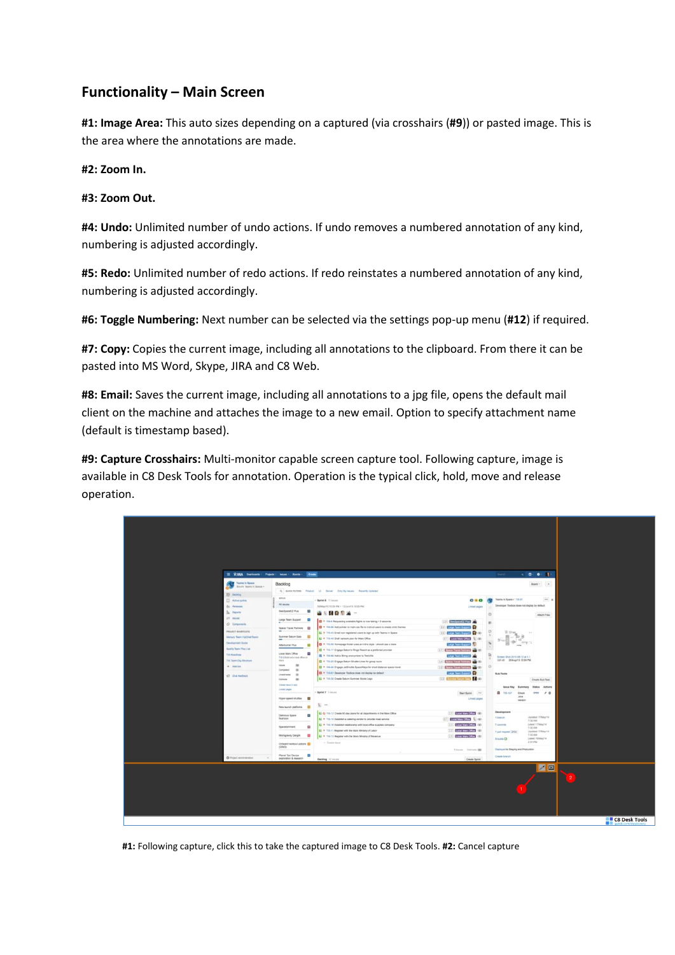### **Functionality – Main Screen**

**#1: Image Area:** This auto sizes depending on a captured (via crosshairs (**#9**)) or pasted image. This is the area where the annotations are made.

**#2: Zoom In.**

#### **#3: Zoom Out.**

**#4: Undo:** Unlimited number of undo actions. If undo removes a numbered annotation of any kind, numbering is adjusted accordingly.

**#5: Redo:** Unlimited number of redo actions. If redo reinstates a numbered annotation of any kind, numbering is adjusted accordingly.

**#6: Toggle Numbering:** Next number can be selected via the settings pop-up menu (**#12**) if required.

**#7: Copy:** Copies the current image, including all annotations to the clipboard. From there it can be pasted into MS Word, Skype, JIRA and C8 Web.

**#8: Email:** Saves the current image, including all annotations to a jpg file, opens the default mail client on the machine and attaches the image to a new email. Option to specify attachment name (default is timestamp based).

**#9: Capture Crosshairs:** Multi-monitor capable screen capture tool. Following capture, image is available in C8 Desk Tools for annotation. Operation is the typical click, hold, move and release operation.



**#1:** Following capture, click this to take the captured image to C8 Desk Tools. **#2:** Cancel capture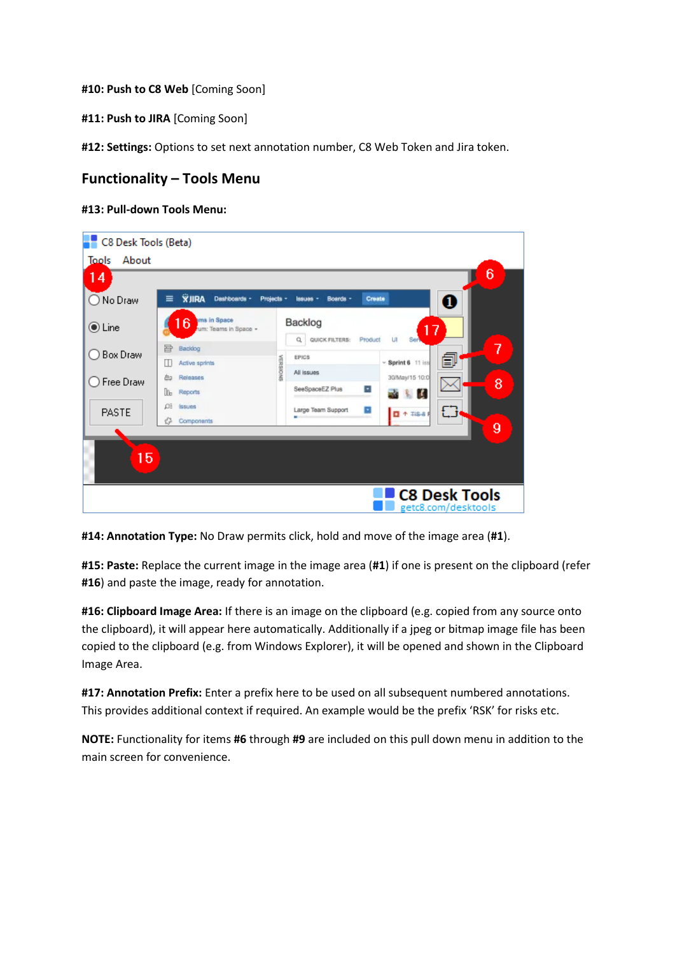**#10: Push to C8 Web** [Coming Soon]

**#11: Push to JIRA** [Coming Soon]

**#12: Settings:** Options to set next annotation number, C8 Web Token and Jira token.

### **Functionality – Tools Menu**

#### **#13: Pull-down Tools Menu:**

| C8 Desk Tools (Beta) |                                                        |          |                                                                |                                      |
|----------------------|--------------------------------------------------------|----------|----------------------------------------------------------------|--------------------------------------|
| Tools<br>About       |                                                        |          |                                                                |                                      |
| 14                   |                                                        |          |                                                                | 6                                    |
| ◯ No Draw            | <b>XJIRA</b><br>$\equiv$<br>Dashboards +<br>Projects - |          | Create<br>Boards -<br>Issues -                                 | $\bf{0}$                             |
| $\odot$ Line         | 6 <sup>ms in Space</sup><br>um: Teams in Space +       |          | Backlog<br>17<br>Q.<br>LII<br>QUICK FILTERS:<br>Ser<br>Product |                                      |
| ◯ Box Draw           | 呂<br>Backlog<br>Active sprints<br>Ш                    |          | <b>EPICS</b>                                                   | 7<br>闫<br>$~\times$ Sprint 6 11 iss  |
| ◯ Free Draw          | Releases<br>甴                                          | AERSIONS | All issues                                                     | 30/May/15 10:0<br>8                  |
|                      | Do <sub>b</sub><br>Reports                             |          | ×<br>SeeSpaceEZ Plus                                           | <b>R</b>                             |
| <b>PASTE</b>         | Ωī<br><b>Issues</b><br>43<br>Components                |          | E<br>Large Team Support<br>۰<br>-                              | £3<br>$\Box$ + TiS-8 F               |
|                      |                                                        |          |                                                                | 9                                    |
| 15                   |                                                        |          |                                                                |                                      |
|                      |                                                        |          |                                                                | C8 Desk Tools<br>getc8.com/desktools |

**#14: Annotation Type:** No Draw permits click, hold and move of the image area (**#1**).

**#15: Paste:** Replace the current image in the image area (**#1**) if one is present on the clipboard (refer **#16**) and paste the image, ready for annotation.

**#16: Clipboard Image Area:** If there is an image on the clipboard (e.g. copied from any source onto the clipboard), it will appear here automatically. Additionally if a jpeg or bitmap image file has been copied to the clipboard (e.g. from Windows Explorer), it will be opened and shown in the Clipboard Image Area.

**#17: Annotation Prefix:** Enter a prefix here to be used on all subsequent numbered annotations. This provides additional context if required. An example would be the prefix 'RSK' for risks etc.

**NOTE:** Functionality for items **#6** through **#9** are included on this pull down menu in addition to the main screen for convenience.